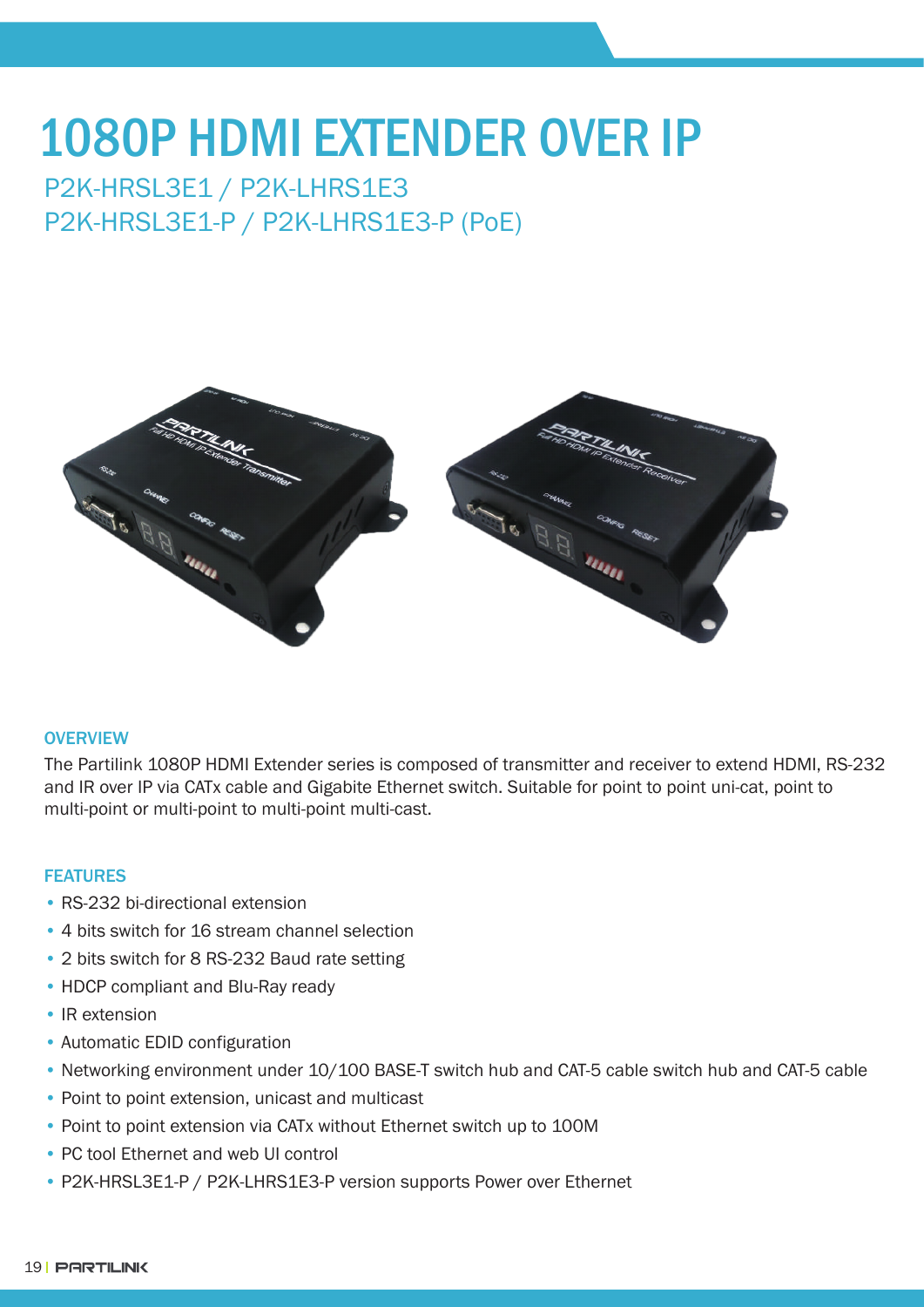# 1080P HDMI EXTENDER OVER IP

## P2K-HRSL3E1 / P2K-LHRS1E3 P2K-HRSL3E1-P / P2K-LHRS1E3-P (PoE)



#### **OVERVIEW**

The Partilink 1080P HDMI Extender series is composed of transmitter and receiver to extend HDMI, RS-232 and IR over IP via CATx cable and Gigabite Ethernet switch. Suitable for point to point uni-cat, point to multi-point or multi-point to multi-point multi-cast.

#### FEATURES

- RS-232 bi-directional extension
- 4 bits switch for 16 stream channel selection
- 2 bits switch for 8 RS-232 Baud rate setting
- HDCP compliant and Blu-Ray ready
- IR extension
- Automatic EDID configuration
- Networking environment under 10/100 BASE-T switch hub and CAT-5 cable switch hub and CAT-5 cable
- Point to point extension, unicast and multicast
- Point to point extension via CATx without Ethernet switch up to 100M
- PC tool Ethernet and web UI control
- P2K-HRSL3E1-P / P2K-LHRS1E3-P version supports Power over Ethernet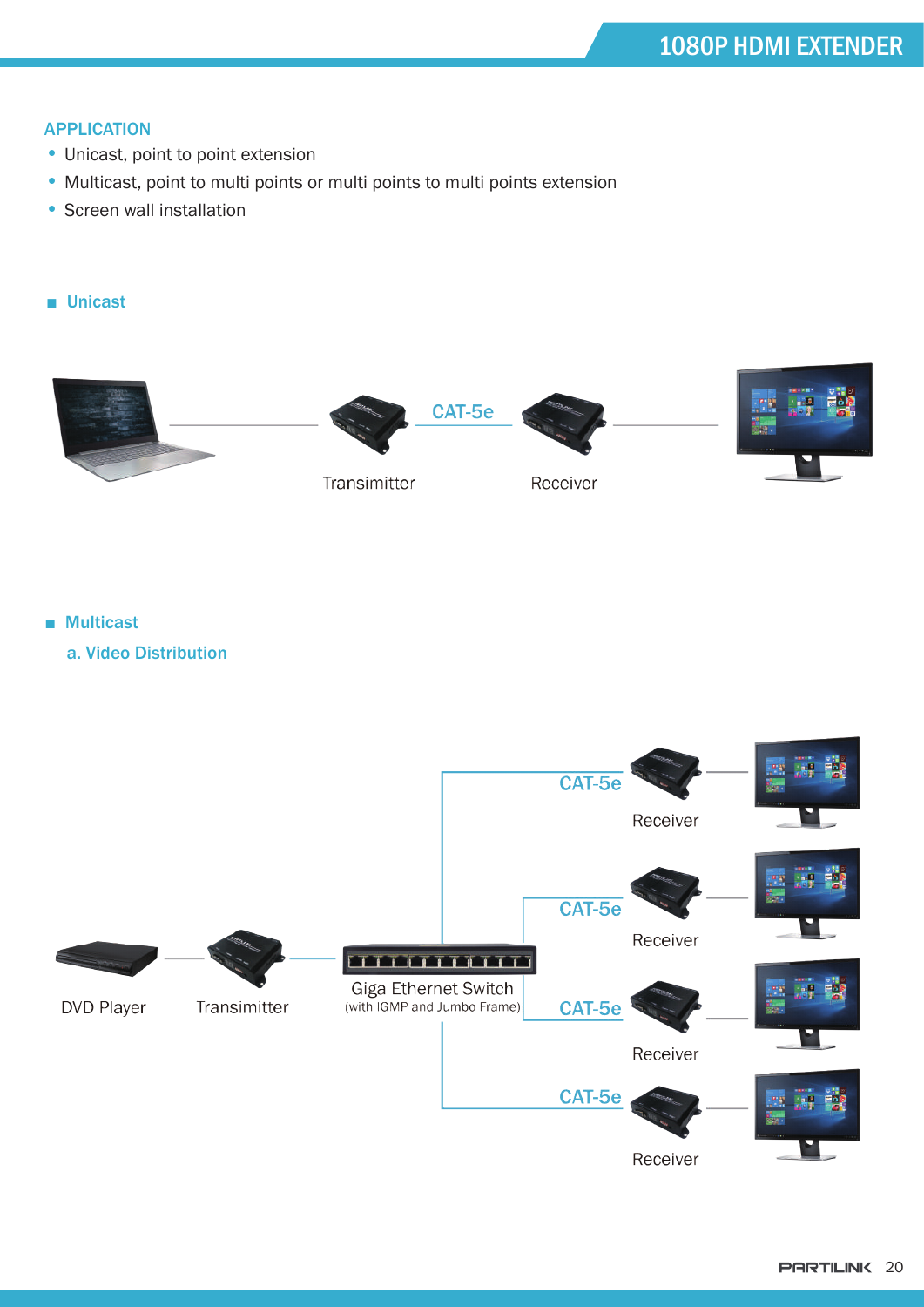#### **APPLICATION**

- Unicast, point to point extension
- Multicast, point to multi points or multi points to multi points extension
- Screen wall installation

#### ■ Unicast



■ Multicast

a. Video Distribution

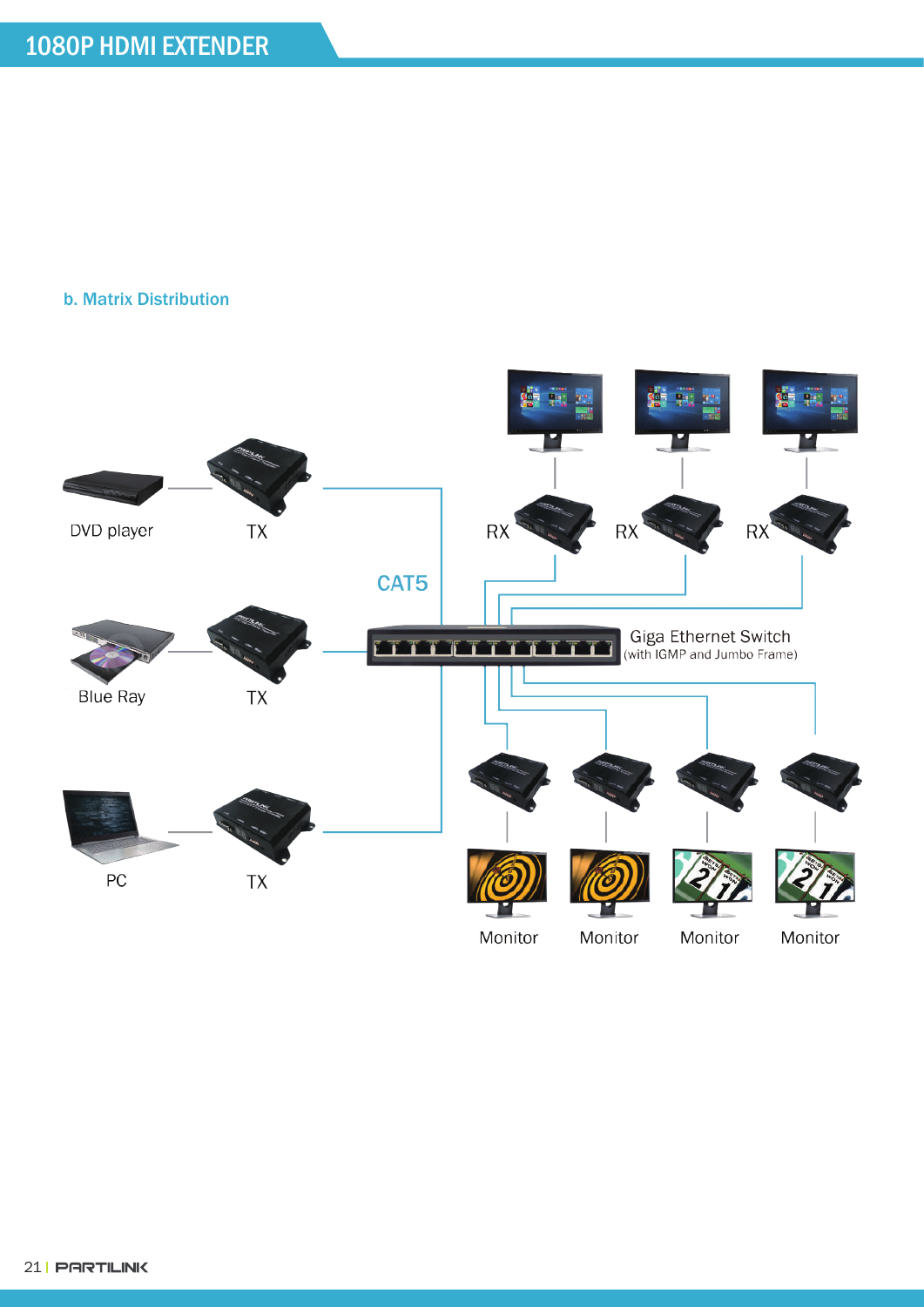#### b. Matrix Distribution